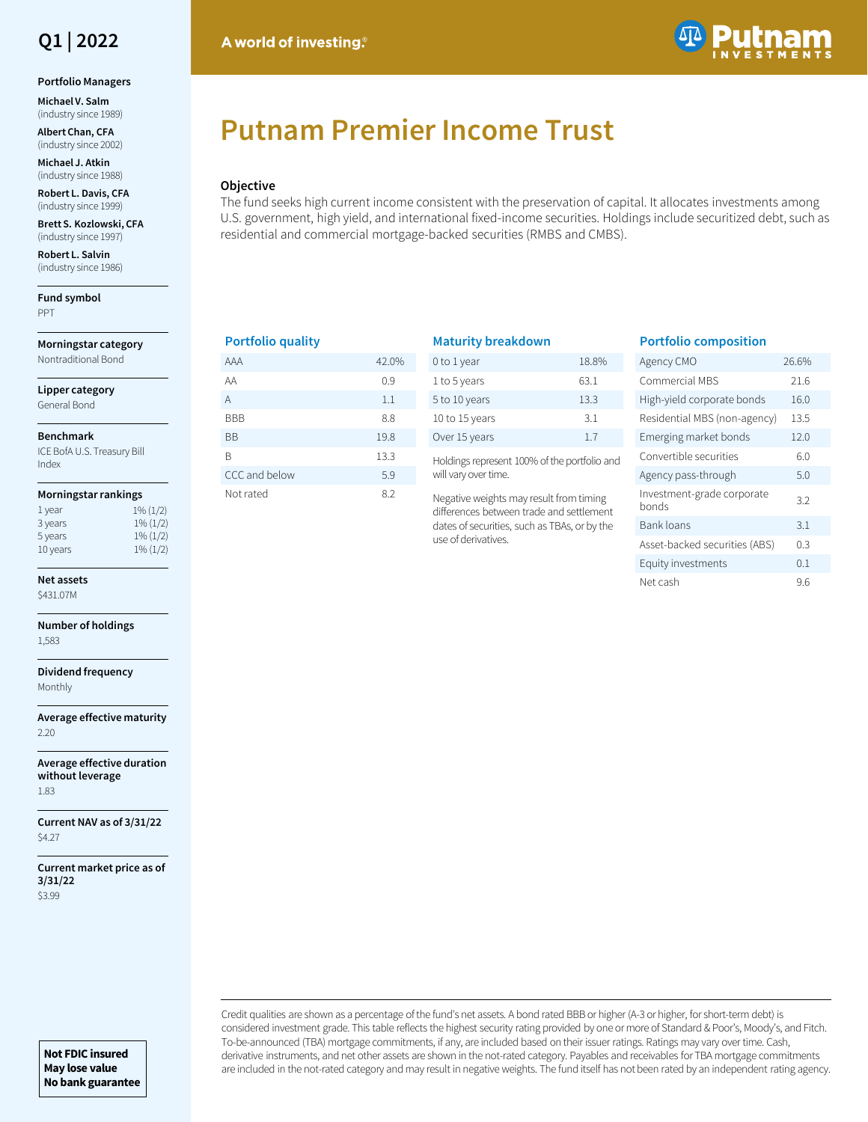

### **Portfolio Managers**

**Michael V. Salm**  (industry since 1989)

**Albert Chan, CFA**  (industry since 2002)

**Michael J. Atkin**  (industry since 1988)

**Robert L. Davis, CFA**  (industry since 1999)

**Brett S. Kozlowski, CFA**  (industry since 1997)

**Robert L. Salvin**  (industry since 1986)

**Fund symbol** PPT

**Morningstar category** Nontraditional Bond

**Lipper category**

General Bond

### **Benchmark**

ICE BofA U.S. Treasury Bill Index

#### **Morningstar rankings**

| 1 year   | $1\%$ $(1/2)$ |
|----------|---------------|
| 3 years  | $1\%$ $(1/2)$ |
| 5 years  | $1\% (1/2)$   |
| 10 years | $1\% (1/2)$   |

## **Net assets**

\$431.07M

**Number of holdings** 1,583

**Dividend frequency** Monthly

**Average effective maturity** 2.20

**Average effective duration without leverage** 1.83

**Current NAV as of 3/31/22** \$4.27

**Current market price as of 3/31/22** \$3.99

# A world of investing.



# **Putnam Premier Income Trust**

## **Objective**

The fund seeks high current income consistent with the preservation of capital. It allocates investments among U.S. government, high yield, and international fixed-income securities. Holdings include securitized debt, such as residential and commercial mortgage-backed securities (RMBS and CMBS).

## **Portfolio quality**

| AAA           | 42.0% |
|---------------|-------|
| ΑA            | 0.9   |
| A             | 1.1   |
| <b>BBB</b>    | 8.8   |
| ВB            | 19.8  |
| R             | 13.3  |
| CCC and below | 5.9   |
| Not rated     | 8.2   |

| <b>Maturity breakdown</b> |       |
|---------------------------|-------|
| 0 to 1 year               | 18.8% |
| 1 to 5 years              | 63.1  |
| 5 to 10 years             | 13.3  |
| 10 to 15 years            | 31    |

Holdings represent 100% of the portfolio and will vary over time.

Over 15 years 1.7

Negative weights may result from timing differences between trade and settlement dates of securities, such as TBAs, or by the use of derivatives.

## **Portfolio composition**

| Agency CMO                          | 26.6% |
|-------------------------------------|-------|
| Commercial MBS                      | 21.6  |
| High-yield corporate bonds          | 16.0  |
| Residential MBS (non-agency)        | 13.5  |
| Emerging market bonds               | 12.0  |
| Convertible securities              | 6.0   |
| Agency pass-through                 | 5.0   |
| Investment-grade corporate<br>honds | 3.2   |
| <b>Bank loans</b>                   | 3.1   |
| Asset-backed securities (ABS)       | 0.3   |
| Equity investments                  | 0.1   |
| Net cash                            | 9.6   |

Credit qualities are shown as a percentage of the fund's net assets. A bond rated BBB or higher (A-3 or higher, for short-term debt) is considered investment grade. This table reflects the highest security rating provided by one or more of Standard & Poor's, Moody's, and Fitch. To-be-announced (TBA) mortgage commitments, if any, are included based on their issuer ratings. Ratings may vary over time. Cash, derivative instruments, and net other assets are shown in the not-rated category. Payables and receivables for TBA mortgage commitments are included in the not-rated category and may result in negative weights. The fund itself has not been rated by an independent rating agency.